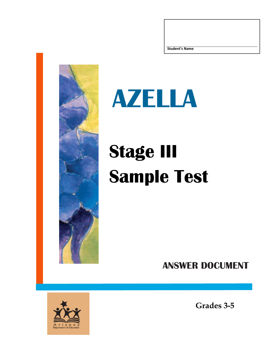



## **Stage III Sample Test**

**ANSWER DOCUMENT**



**Grades 3-5**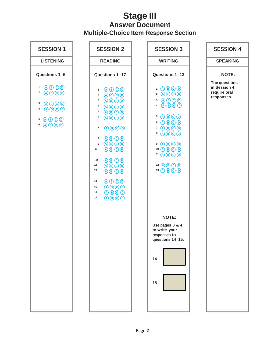## **Stage III Answer Document Multiple-Choice Item Response Section**

| <b>SESSION 1</b>                                                                                                                                                                                                                                                                                                               | <b>SESSION 2</b>                                                                                                                                                                                                                                                                                                                                                                                                                                                                                                                                                                                                                                                                                                                                                                                                                                                                                                                                                                   | <b>SESSION 3</b>                                                                                                                                                                                                                                                                                                                                                                                                                                                                                                                                  | <b>SESSION 4</b>                                            |  |
|--------------------------------------------------------------------------------------------------------------------------------------------------------------------------------------------------------------------------------------------------------------------------------------------------------------------------------|------------------------------------------------------------------------------------------------------------------------------------------------------------------------------------------------------------------------------------------------------------------------------------------------------------------------------------------------------------------------------------------------------------------------------------------------------------------------------------------------------------------------------------------------------------------------------------------------------------------------------------------------------------------------------------------------------------------------------------------------------------------------------------------------------------------------------------------------------------------------------------------------------------------------------------------------------------------------------------|---------------------------------------------------------------------------------------------------------------------------------------------------------------------------------------------------------------------------------------------------------------------------------------------------------------------------------------------------------------------------------------------------------------------------------------------------------------------------------------------------------------------------------------------------|-------------------------------------------------------------|--|
| <b>LISTENING</b>                                                                                                                                                                                                                                                                                                               | <b>READING</b>                                                                                                                                                                                                                                                                                                                                                                                                                                                                                                                                                                                                                                                                                                                                                                                                                                                                                                                                                                     | <b>WRITING</b>                                                                                                                                                                                                                                                                                                                                                                                                                                                                                                                                    | <b>SPEAKING</b>                                             |  |
| Questions 1-6                                                                                                                                                                                                                                                                                                                  | Questions 1-17                                                                                                                                                                                                                                                                                                                                                                                                                                                                                                                                                                                                                                                                                                                                                                                                                                                                                                                                                                     | Questions 1-13                                                                                                                                                                                                                                                                                                                                                                                                                                                                                                                                    | <b>NOTE:</b>                                                |  |
| $\bigcirc$ $\bigcirc$ $\bigcirc$ $\bigcirc$<br>1<br>$\bigcirc$ $\bigcirc$ $\bigcirc$ $\bigcirc$<br>$\mathbf{2}$<br>$\bigcirc$ $\bigcirc$ $\bigcirc$ $\bigcirc$<br>3<br>$\bigcirc$ $\bigcirc$ $\bigcirc$ $\bigcirc$<br>4<br>$5$ $\bigcirc$ $\bigcirc$ $\bigcirc$ $\bigcirc$<br>$\bigcirc$ $\bigcirc$ $\bigcirc$ $\bigcirc$<br>6 | $\bigcirc$ $\bigcirc$ $\bigcirc$ $\bigcirc$<br>$\mathbf{1}$<br>$\bigcirc$ $\bigcirc$ $\bigcirc$ $\bigcirc$<br>$\mathbf 2$<br>$\bigcirc$ $\bigcirc$ $\bigcirc$ $\bigcirc$<br>3<br>4<br>$\bigcirc$ $\bigcirc$ $\bigcirc$ $\bigcirc$<br>5<br>$\bigcirc$ $\bigcirc$ $\bigcirc$ $\bigcirc$<br>6<br>$\bigcirc$ $\bigcirc$ $\bigcirc$ $\bigcirc$<br>$\bigcirc$ $\bigcirc$ $\bigcirc$ $\bigcirc$<br>$\overline{\mathbf{r}}$<br>$\bigcirc$ $\bigcirc$ $\bigcirc$ $\bigcirc$<br>8<br>$\bigcirc$ $\bigcirc$ $\bigcirc$ $\bigcirc$<br>$\boldsymbol{9}$<br>$\bigcirc$ $\bigcirc$ $\bigcirc$ $\bigcirc$<br>10<br>$\bigcirc$ $\bigcirc$ $\bigcirc$ $\bigcirc$<br>11<br>12<br>$\bigcirc$ $\bigcirc$ $\bigcirc$ $\bigcirc$<br>13<br>$\bigcirc$ $\bigcirc$ $\bigcirc$ $\bigcirc$<br>$\bigcirc$ $\bigcirc$ $\bigcirc$ $\bigcirc$<br>14<br>$\bigcirc$ $\bigcirc$ $\bigcirc$ $\bigcirc$<br>15<br>$\bigcirc$ $\bigcirc$ $\bigcirc$ $\bigcirc$<br>16<br>$\bigcirc$ $\bigcirc$ $\bigcirc$ $\bigcirc$<br>17 | $1$ $0$ $0$ $0$ $0$<br>$2$ ABOO<br>$\overline{3}$ $\overline{A}$ $\overline{B}$ $\overline{C}$ $\overline{D}$<br>4 ABCO<br>$5$ $\bigcirc$ $\bigcirc$ $\bigcirc$ $\bigcirc$<br>$6$ $\bigcirc$ $\bigcirc$ $\bigcirc$ $\bigcirc$<br>$7$ $\odot$ $\odot$ $\odot$<br>$\bullet$ $\Theta$ $\Theta$ $\Theta$<br>$9$ $0$ $0$ $0$<br>$10$ (A) $\bigcirc$ (B) $\bigcirc$<br>$11$ $\bigcirc$ $\bigcirc$ $\bigcirc$ $\bigcirc$<br>12 A B C D<br>13 A B C D<br><b>NOTE:</b><br>Use pages 3 & 4<br>to write your<br>responses to<br>questions 14-15.<br>14<br>15 | The questions<br>in Session 4<br>require oral<br>responses. |  |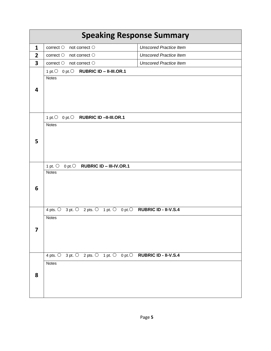| <b>Speaking Response Summary</b> |                                                                              |                               |  |  |  |  |  |  |
|----------------------------------|------------------------------------------------------------------------------|-------------------------------|--|--|--|--|--|--|
| 1                                | correct $\bigcirc$ not correct $\bigcirc$                                    | <b>Unscored Practice Item</b> |  |  |  |  |  |  |
| $\overline{2}$                   | correct $\bigcirc$ not correct $\bigcirc$                                    | <b>Unscored Practice Item</b> |  |  |  |  |  |  |
| 3                                | $correct \circlearrowright$ not correct $\circlearrowright$                  | <b>Unscored Practice Item</b> |  |  |  |  |  |  |
|                                  | 1 pt. O 0 pt. O RUBRIC ID - II-III.OR.1                                      |                               |  |  |  |  |  |  |
|                                  | <b>Notes</b>                                                                 |                               |  |  |  |  |  |  |
| 4                                |                                                                              |                               |  |  |  |  |  |  |
|                                  |                                                                              |                               |  |  |  |  |  |  |
|                                  |                                                                              |                               |  |  |  |  |  |  |
|                                  |                                                                              |                               |  |  |  |  |  |  |
|                                  | 1 pt. $\bigcirc$<br>0 pt. O RUBRIC ID -II-III.OR.1                           |                               |  |  |  |  |  |  |
|                                  | <b>Notes</b>                                                                 |                               |  |  |  |  |  |  |
|                                  |                                                                              |                               |  |  |  |  |  |  |
| 5                                |                                                                              |                               |  |  |  |  |  |  |
|                                  |                                                                              |                               |  |  |  |  |  |  |
|                                  |                                                                              |                               |  |  |  |  |  |  |
|                                  | 1 pt. $\bigcirc$<br>0 pt. $\bigcirc$ RUBRIC ID - III-IV.OR.1<br><b>Notes</b> |                               |  |  |  |  |  |  |
|                                  |                                                                              |                               |  |  |  |  |  |  |
| 6                                |                                                                              |                               |  |  |  |  |  |  |
|                                  |                                                                              |                               |  |  |  |  |  |  |
|                                  |                                                                              |                               |  |  |  |  |  |  |
|                                  | 4 pts. 0 3 pt. 0 2 pts. 0 1 pt. 0 0 pt. 0 RUBRIC ID - II-V.S.4               |                               |  |  |  |  |  |  |
|                                  | <b>Notes</b>                                                                 |                               |  |  |  |  |  |  |
| 7                                |                                                                              |                               |  |  |  |  |  |  |
|                                  |                                                                              |                               |  |  |  |  |  |  |
|                                  |                                                                              |                               |  |  |  |  |  |  |
|                                  | 4 pts. 0 3 pt. 0 2 pts. 0 1 pt. 0 0 pt. 0 RUBRIC ID - II-V.S.4               |                               |  |  |  |  |  |  |
|                                  | <b>Notes</b>                                                                 |                               |  |  |  |  |  |  |
|                                  |                                                                              |                               |  |  |  |  |  |  |
| 8                                |                                                                              |                               |  |  |  |  |  |  |
|                                  |                                                                              |                               |  |  |  |  |  |  |
|                                  |                                                                              |                               |  |  |  |  |  |  |